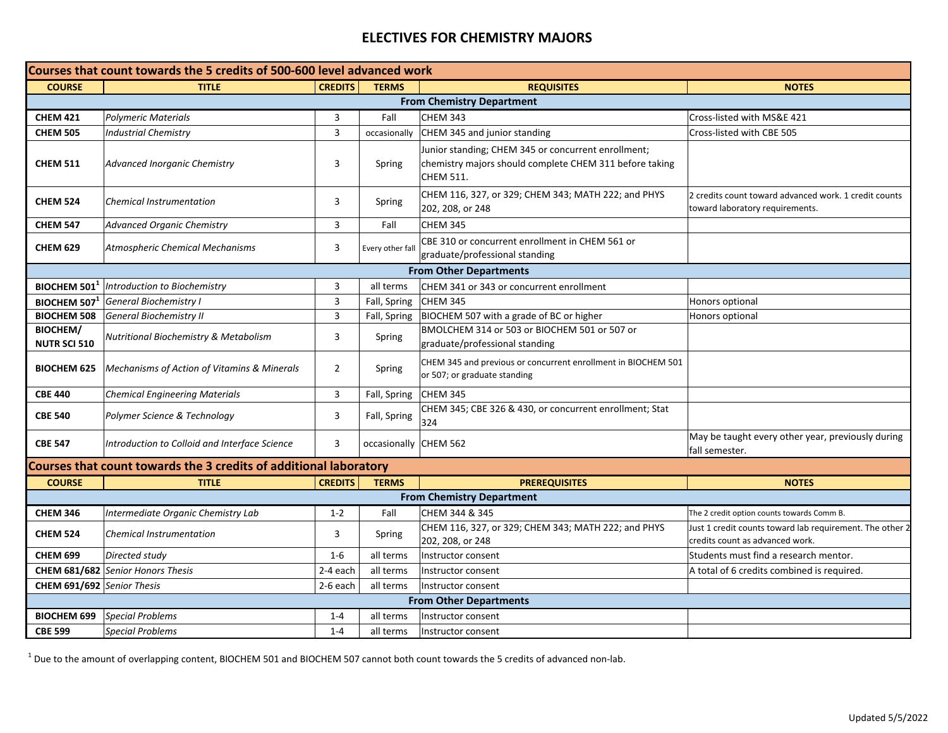## **ELECTIVES FOR CHEMISTRY MAJORS**

| Courses that count towards the 5 credits of 500-600 level advanced work |                                                        |                |                       |                                                                                                                                    |                                                                                             |  |  |  |  |
|-------------------------------------------------------------------------|--------------------------------------------------------|----------------|-----------------------|------------------------------------------------------------------------------------------------------------------------------------|---------------------------------------------------------------------------------------------|--|--|--|--|
| <b>COURSE</b>                                                           | <b>TITLE</b>                                           | <b>CREDITS</b> | <b>TERMS</b>          | <b>REQUISITES</b>                                                                                                                  | <b>NOTES</b>                                                                                |  |  |  |  |
| <b>From Chemistry Department</b>                                        |                                                        |                |                       |                                                                                                                                    |                                                                                             |  |  |  |  |
| <b>CHEM 421</b>                                                         | <b>Polymeric Materials</b>                             | 3              | Fall                  | <b>CHEM 343</b>                                                                                                                    | Cross-listed with MS&E 421                                                                  |  |  |  |  |
| <b>CHEM 505</b>                                                         | <b>Industrial Chemistry</b>                            | $\overline{3}$ | occasionally          | CHEM 345 and junior standing                                                                                                       | Cross-listed with CBE 505                                                                   |  |  |  |  |
| <b>CHEM 511</b>                                                         | Advanced Inorganic Chemistry                           | 3              | Spring                | Junior standing; CHEM 345 or concurrent enrollment;<br>chemistry majors should complete CHEM 311 before taking<br><b>CHEM 511.</b> |                                                                                             |  |  |  |  |
| <b>CHEM 524</b>                                                         | <b>Chemical Instrumentation</b>                        | 3              | Spring                | CHEM 116, 327, or 329; CHEM 343; MATH 222; and PHYS<br>202, 208, or 248                                                            | 2 credits count toward advanced work. 1 credit counts<br>toward laboratory requirements.    |  |  |  |  |
| <b>CHEM 547</b>                                                         | <b>Advanced Organic Chemistry</b>                      | 3              | Fall                  | <b>CHEM 345</b>                                                                                                                    |                                                                                             |  |  |  |  |
| <b>CHEM 629</b>                                                         | <b>Atmospheric Chemical Mechanisms</b>                 | 3              | Every other fall      | CBE 310 or concurrent enrollment in CHEM 561 or<br>graduate/professional standing                                                  |                                                                                             |  |  |  |  |
| <b>From Other Departments</b>                                           |                                                        |                |                       |                                                                                                                                    |                                                                                             |  |  |  |  |
| BIOCHEM 501 <sup>1</sup>                                                | Introduction to Biochemistry                           | 3              | all terms             | CHEM 341 or 343 or concurrent enrollment                                                                                           |                                                                                             |  |  |  |  |
| BIOCHEM 507                                                             | General Biochemistry I                                 | 3              | Fall, Spring          | CHEM 345                                                                                                                           | Honors optional                                                                             |  |  |  |  |
| <b>BIOCHEM 508</b>                                                      | <b>General Biochemistry II</b>                         | 3              |                       | Fall, Spring  BIOCHEM 507 with a grade of BC or higher                                                                             | Honors optional                                                                             |  |  |  |  |
| <b>BIOCHEM/</b><br><b>NUTR SCI 510</b>                                  | Nutritional Biochemistry & Metabolism                  | 3              | Spring                | BMOLCHEM 314 or 503 or BIOCHEM 501 or 507 or<br>graduate/professional standing                                                     |                                                                                             |  |  |  |  |
| <b>BIOCHEM 625</b>                                                      | <b>Mechanisms of Action of Vitamins &amp; Minerals</b> | $\overline{2}$ | Spring                | CHEM 345 and previous or concurrent enrollment in BIOCHEM 501<br>or 507; or graduate standing                                      |                                                                                             |  |  |  |  |
| <b>CBE 440</b>                                                          | <b>Chemical Engineering Materials</b>                  | 3              | Fall, Spring          | <b>CHEM 345</b>                                                                                                                    |                                                                                             |  |  |  |  |
| <b>CBE 540</b>                                                          | Polymer Science & Technology                           | 3              | Fall, Spring          | CHEM 345; CBE 326 & 430, or concurrent enrollment; Stat<br>324                                                                     |                                                                                             |  |  |  |  |
| <b>CBE 547</b>                                                          | Introduction to Colloid and Interface Science          | 3              | occasionally CHEM 562 |                                                                                                                                    | May be taught every other year, previously during<br>fall semester.                         |  |  |  |  |
| Courses that count towards the 3 credits of additional laboratory       |                                                        |                |                       |                                                                                                                                    |                                                                                             |  |  |  |  |
| <b>COURSE</b>                                                           | <b>TITLE</b>                                           | <b>CREDITS</b> | <b>TERMS</b>          | <b>PREREQUISITES</b>                                                                                                               | <b>NOTES</b>                                                                                |  |  |  |  |
| <b>From Chemistry Department</b>                                        |                                                        |                |                       |                                                                                                                                    |                                                                                             |  |  |  |  |
| <b>CHEM 346</b>                                                         | Intermediate Organic Chemistry Lab                     | $1 - 2$        | Fall                  | CHEM 344 & 345                                                                                                                     | The 2 credit option counts towards Comm B.                                                  |  |  |  |  |
| <b>CHEM 524</b>                                                         | <b>Chemical Instrumentation</b>                        | 3              | Spring                | CHEM 116, 327, or 329; CHEM 343; MATH 222; and PHYS<br>202, 208, or 248                                                            | Just 1 credit counts toward lab requirement. The other 2<br>credits count as advanced work. |  |  |  |  |
| <b>CHEM 699</b>                                                         | Directed study                                         | $1 - 6$        | all terms             | Instructor consent                                                                                                                 | Students must find a research mentor.                                                       |  |  |  |  |
|                                                                         | CHEM 681/682 Senior Honors Thesis                      | 2-4 each       | all terms             | Instructor consent                                                                                                                 | A total of 6 credits combined is required.                                                  |  |  |  |  |
| CHEM 691/692 Senior Thesis                                              |                                                        | 2-6 each       | all terms             | Instructor consent                                                                                                                 |                                                                                             |  |  |  |  |
| <b>From Other Departments</b>                                           |                                                        |                |                       |                                                                                                                                    |                                                                                             |  |  |  |  |
| <b>BIOCHEM 699</b>                                                      | <b>Special Problems</b>                                | $1 - 4$        | all terms             | Instructor consent                                                                                                                 |                                                                                             |  |  |  |  |
| <b>CBE 599</b>                                                          | <b>Special Problems</b>                                | $1 - 4$        | all terms             | Instructor consent                                                                                                                 |                                                                                             |  |  |  |  |

 $^1$  Due to the amount of overlapping content, BIOCHEM 501 and BIOCHEM 507 cannot both count towards the 5 credits of advanced non-lab.